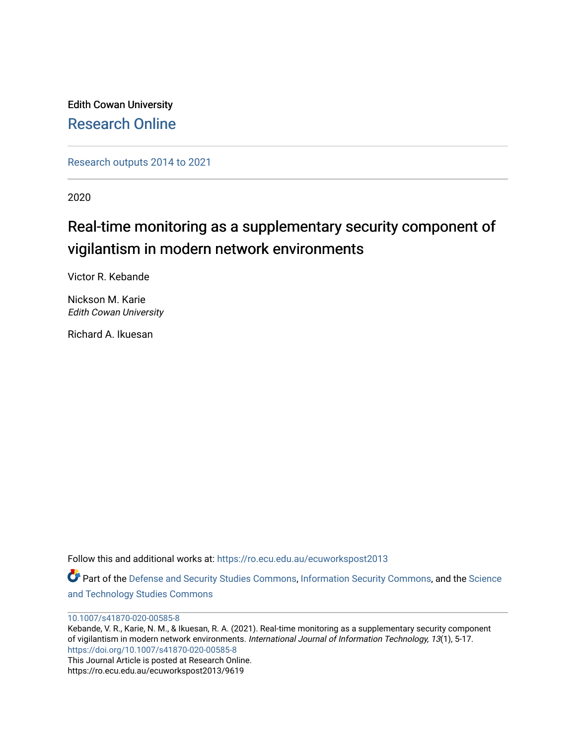Edith Cowan University [Research Online](https://ro.ecu.edu.au/) 

[Research outputs 2014 to 2021](https://ro.ecu.edu.au/ecuworkspost2013) 

2020

# Real-time monitoring as a supplementary security component of vigilantism in modern network environments

Victor R. Kebande

Nickson M. Karie Edith Cowan University

Richard A. Ikuesan

Follow this and additional works at: [https://ro.ecu.edu.au/ecuworkspost2013](https://ro.ecu.edu.au/ecuworkspost2013?utm_source=ro.ecu.edu.au%2Fecuworkspost2013%2F9619&utm_medium=PDF&utm_campaign=PDFCoverPages) 

**P** Part of the [Defense and Security Studies Commons](http://network.bepress.com/hgg/discipline/394?utm_source=ro.ecu.edu.au%2Fecuworkspost2013%2F9619&utm_medium=PDF&utm_campaign=PDFCoverPages), [Information Security Commons,](http://network.bepress.com/hgg/discipline/1247?utm_source=ro.ecu.edu.au%2Fecuworkspost2013%2F9619&utm_medium=PDF&utm_campaign=PDFCoverPages) and the Science [and Technology Studies Commons](http://network.bepress.com/hgg/discipline/435?utm_source=ro.ecu.edu.au%2Fecuworkspost2013%2F9619&utm_medium=PDF&utm_campaign=PDFCoverPages) 

## [10.1007/s41870-020-00585-8](http://dx.doi.org/10.1007/s41870-020-00585-8)

Kebande, V. R., Karie, N. M., & Ikuesan, R. A. (2021). Real-time monitoring as a supplementary security component of vigilantism in modern network environments. International Journal of Information Technology, 13(1), 5-17. <https://doi.org/10.1007/s41870-020-00585-8>

This Journal Article is posted at Research Online. https://ro.ecu.edu.au/ecuworkspost2013/9619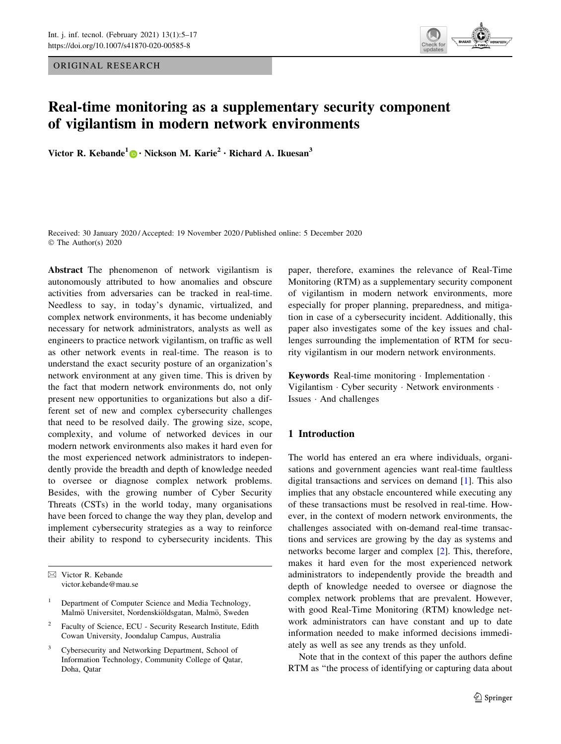ORIGINAL RESEARCH



## Real-time monitoring as a supplementary security component of vigilantism in modern network environments

Victor R. Kebande<sup>1</sup> [•](http://orcid.org/0000-0003-4071-4596) Nickson M. Karie<sup>2</sup> • Richard A. Ikuesan<sup>3</sup>

Received: 30 January 2020 / Accepted: 19 November 2020 / Published online: 5 December 2020 © The Author(s) 2020

Abstract The phenomenon of network vigilantism is autonomously attributed to how anomalies and obscure activities from adversaries can be tracked in real-time. Needless to say, in today's dynamic, virtualized, and complex network environments, it has become undeniably necessary for network administrators, analysts as well as engineers to practice network vigilantism, on traffic as well as other network events in real-time. The reason is to understand the exact security posture of an organization's network environment at any given time. This is driven by the fact that modern network environments do, not only present new opportunities to organizations but also a different set of new and complex cybersecurity challenges that need to be resolved daily. The growing size, scope, complexity, and volume of networked devices in our modern network environments also makes it hard even for the most experienced network administrators to independently provide the breadth and depth of knowledge needed to oversee or diagnose complex network problems. Besides, with the growing number of Cyber Security Threats (CSTs) in the world today, many organisations have been forced to change the way they plan, develop and implement cybersecurity strategies as a way to reinforce their ability to respond to cybersecurity incidents. This

- <sup>2</sup> Faculty of Science, ECU Security Research Institute, Edith Cowan University, Joondalup Campus, Australia
- <sup>3</sup> Cybersecurity and Networking Department, School of Information Technology, Community College of Qatar, Doha, Qatar

paper, therefore, examines the relevance of Real-Time Monitoring (RTM) as a supplementary security component of vigilantism in modern network environments, more especially for proper planning, preparedness, and mitigation in case of a cybersecurity incident. Additionally, this paper also investigates some of the key issues and challenges surrounding the implementation of RTM for security vigilantism in our modern network environments.

Keywords Real-time monitoring - Implementation - Vigilantism · Cyber security · Network environments · Issues - And challenges

## 1 Introduction

The world has entered an era where individuals, organisations and government agencies want real-time faultless digital transactions and services on demand [\[1](#page-12-0)]. This also implies that any obstacle encountered while executing any of these transactions must be resolved in real-time. However, in the context of modern network environments, the challenges associated with on-demand real-time transactions and services are growing by the day as systems and networks become larger and complex [\[2](#page-12-0)]. This, therefore, makes it hard even for the most experienced network administrators to independently provide the breadth and depth of knowledge needed to oversee or diagnose the complex network problems that are prevalent. However, with good Real-Time Monitoring (RTM) knowledge network administrators can have constant and up to date information needed to make informed decisions immediately as well as see any trends as they unfold.

Note that in the context of this paper the authors define RTM as ''the process of identifying or capturing data about

 $\boxtimes$  Victor R. Kebande victor.kebande@mau.se

<sup>&</sup>lt;sup>1</sup> Department of Computer Science and Media Technology, Malmö Universitet, Nordenskiöldsgatan, Malmö, Sweden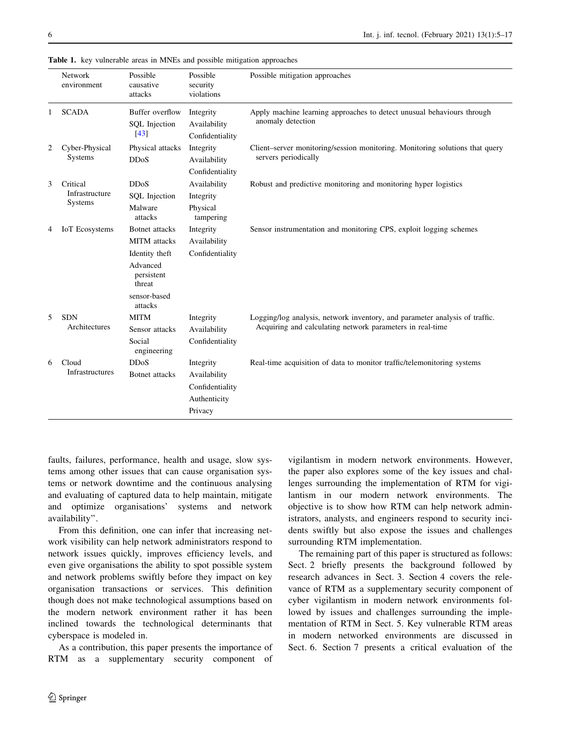|              | Network<br>environment                | Possible<br>causative<br>attacks                                                                                       | Possible<br>security<br>violations                                      | Possible mitigation approaches                                                                                                           |
|--------------|---------------------------------------|------------------------------------------------------------------------------------------------------------------------|-------------------------------------------------------------------------|------------------------------------------------------------------------------------------------------------------------------------------|
| $\mathbf{1}$ | <b>SCADA</b>                          | Buffer overflow<br>SQL Injection<br>[43]                                                                               | Integrity<br>Availability<br>Confidentiality                            | Apply machine learning approaches to detect unusual behaviours through<br>anomaly detection                                              |
| 2            | Cyber-Physical<br><b>Systems</b>      | Physical attacks<br><b>DDoS</b>                                                                                        | Integrity<br>Availability<br>Confidentiality                            | Client–server monitoring/session monitoring. Monitoring solutions that query<br>servers periodically                                     |
| 3            | Critical<br>Infrastructure<br>Systems | <b>DDoS</b><br><b>SQL</b> Injection<br>Malware<br>attacks                                                              | Availability<br>Integrity<br>Physical<br>tampering                      | Robust and predictive monitoring and monitoring hyper logistics                                                                          |
| 4            | IoT Ecosystems                        | Botnet attacks<br><b>MITM</b> attacks<br>Identity theft<br>Advanced<br>persistent<br>threat<br>sensor-based<br>attacks | Integrity<br>Availability<br>Confidentiality                            | Sensor instrumentation and monitoring CPS, exploit logging schemes                                                                       |
| 5            | <b>SDN</b><br>Architectures           | <b>MITM</b><br>Sensor attacks<br>Social<br>engineering                                                                 | Integrity<br>Availability<br>Confidentiality                            | Logging/log analysis, network inventory, and parameter analysis of traffic.<br>Acquiring and calculating network parameters in real-time |
| 6            | Cloud<br>Infrastructures              | <b>DDoS</b><br>Botnet attacks                                                                                          | Integrity<br>Availability<br>Confidentiality<br>Authenticity<br>Privacy | Real-time acquisition of data to monitor traffic/telemonitoring systems                                                                  |

Table 1. key vulnerable areas in MNEs and possible mitigation approaches

faults, failures, performance, health and usage, slow systems among other issues that can cause organisation systems or network downtime and the continuous analysing and evaluating of captured data to help maintain, mitigate and optimize organisations' systems and network availability''.

From this definition, one can infer that increasing network visibility can help network administrators respond to network issues quickly, improves efficiency levels, and even give organisations the ability to spot possible system and network problems swiftly before they impact on key organisation transactions or services. This definition though does not make technological assumptions based on the modern network environment rather it has been inclined towards the technological determinants that cyberspace is modeled in.

As a contribution, this paper presents the importance of RTM as a supplementary security component of

vigilantism in modern network environments. However, the paper also explores some of the key issues and challenges surrounding the implementation of RTM for vigilantism in our modern network environments. The objective is to show how RTM can help network administrators, analysts, and engineers respond to security incidents swiftly but also expose the issues and challenges surrounding RTM implementation.

The remaining part of this paper is structured as follows: Sect. 2 briefly presents the background followed by research advances in Sect. 3. Section 4 covers the relevance of RTM as a supplementary security component of cyber vigilantism in modern network environments followed by issues and challenges surrounding the implementation of RTM in Sect. 5. Key vulnerable RTM areas in modern networked environments are discussed in Sect. 6. Section 7 presents a critical evaluation of the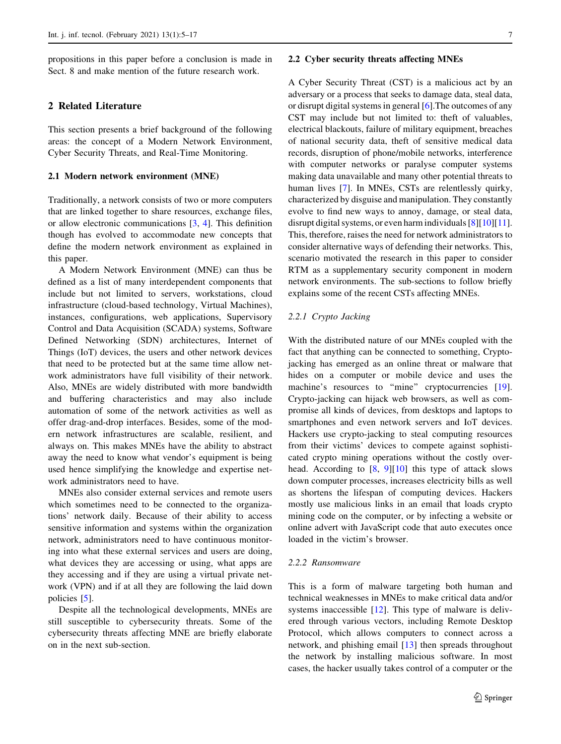propositions in this paper before a conclusion is made in Sect. 8 and make mention of the future research work.

## 2 Related Literature

This section presents a brief background of the following areas: the concept of a Modern Network Environment, Cyber Security Threats, and Real-Time Monitoring.

#### 2.1 Modern network environment (MNE)

Traditionally, a network consists of two or more computers that are linked together to share resources, exchange files, or allow electronic communications [\[3](#page-12-0), [4](#page-12-0)]. This definition though has evolved to accommodate new concepts that define the modern network environment as explained in this paper.

A Modern Network Environment (MNE) can thus be defined as a list of many interdependent components that include but not limited to servers, workstations, cloud infrastructure (cloud-based technology, Virtual Machines), instances, configurations, web applications, Supervisory Control and Data Acquisition (SCADA) systems, Software Defined Networking (SDN) architectures, Internet of Things (IoT) devices, the users and other network devices that need to be protected but at the same time allow network administrators have full visibility of their network. Also, MNEs are widely distributed with more bandwidth and buffering characteristics and may also include automation of some of the network activities as well as offer drag-and-drop interfaces. Besides, some of the modern network infrastructures are scalable, resilient, and always on. This makes MNEs have the ability to abstract away the need to know what vendor's equipment is being used hence simplifying the knowledge and expertise network administrators need to have.

MNEs also consider external services and remote users which sometimes need to be connected to the organizations' network daily. Because of their ability to access sensitive information and systems within the organization network, administrators need to have continuous monitoring into what these external services and users are doing, what devices they are accessing or using, what apps are they accessing and if they are using a virtual private network (VPN) and if at all they are following the laid down policies [[5\]](#page-12-0).

Despite all the technological developments, MNEs are still susceptible to cybersecurity threats. Some of the cybersecurity threats affecting MNE are briefly elaborate on in the next sub-section.

#### 2.2 Cyber security threats affecting MNEs

A Cyber Security Threat (CST) is a malicious act by an adversary or a process that seeks to damage data, steal data, or disrupt digital systems in general [\[6](#page-12-0)].The outcomes of any CST may include but not limited to: theft of valuables, electrical blackouts, failure of military equipment, breaches of national security data, theft of sensitive medical data records, disruption of phone/mobile networks, interference with computer networks or paralyse computer systems making data unavailable and many other potential threats to human lives [[7\]](#page-12-0). In MNEs, CSTs are relentlessly quirky, characterized by disguise and manipulation. They constantly evolve to find new ways to annoy, damage, or steal data, disrupt digital systems, or even harm individuals [\[8](#page-12-0)][[10\]\[11](#page-12-0)]. This, therefore, raises the need for network administrators to consider alternative ways of defending their networks. This, scenario motivated the research in this paper to consider RTM as a supplementary security component in modern network environments. The sub-sections to follow briefly explains some of the recent CSTs affecting MNEs.

## 2.2.1 Crypto Jacking

With the distributed nature of our MNEs coupled with the fact that anything can be connected to something, Cryptojacking has emerged as an online threat or malware that hides on a computer or mobile device and uses the machine's resources to "mine" cryptocurrencies [\[19](#page-12-0)]. Crypto-jacking can hijack web browsers, as well as compromise all kinds of devices, from desktops and laptops to smartphones and even network servers and IoT devices. Hackers use crypto-jacking to steal computing resources from their victims' devices to compete against sophisticated crypto mining operations without the costly overhead. According to  $[8, 9][10]$  $[8, 9][10]$  $[8, 9][10]$  $[8, 9][10]$  $[8, 9][10]$  $[8, 9][10]$  this type of attack slows down computer processes, increases electricity bills as well as shortens the lifespan of computing devices. Hackers mostly use malicious links in an email that loads crypto mining code on the computer, or by infecting a website or online advert with JavaScript code that auto executes once loaded in the victim's browser.

#### 2.2.2 Ransomware

This is a form of malware targeting both human and technical weaknesses in MNEs to make critical data and/or systems inaccessible [\[12](#page-12-0)]. This type of malware is delivered through various vectors, including Remote Desktop Protocol, which allows computers to connect across a network, and phishing email [[13\]](#page-12-0) then spreads throughout the network by installing malicious software. In most cases, the hacker usually takes control of a computer or the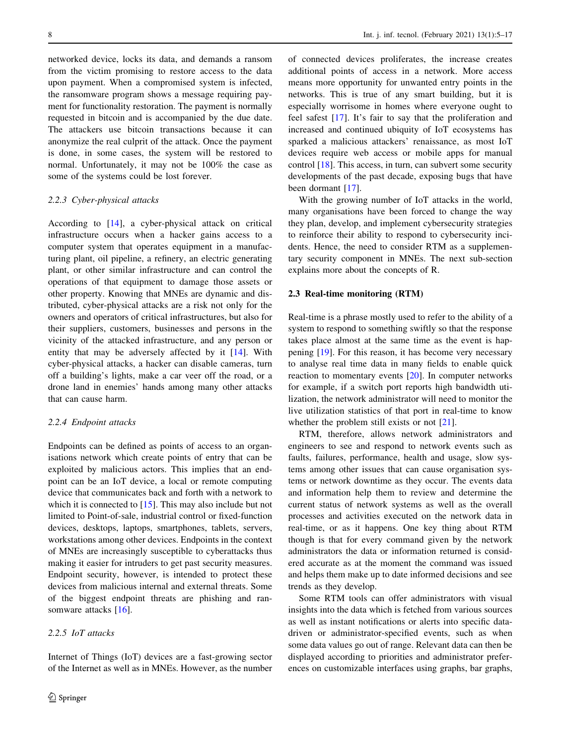networked device, locks its data, and demands a ransom from the victim promising to restore access to the data upon payment. When a compromised system is infected, the ransomware program shows a message requiring payment for functionality restoration. The payment is normally requested in bitcoin and is accompanied by the due date. The attackers use bitcoin transactions because it can anonymize the real culprit of the attack. Once the payment is done, in some cases, the system will be restored to normal. Unfortunately, it may not be 100% the case as some of the systems could be lost forever.

#### 2.2.3 Cyber-physical attacks

According to [[14\]](#page-12-0), a cyber-physical attack on critical infrastructure occurs when a hacker gains access to a computer system that operates equipment in a manufacturing plant, oil pipeline, a refinery, an electric generating plant, or other similar infrastructure and can control the operations of that equipment to damage those assets or other property. Knowing that MNEs are dynamic and distributed, cyber-physical attacks are a risk not only for the owners and operators of critical infrastructures, but also for their suppliers, customers, businesses and persons in the vicinity of the attacked infrastructure, and any person or entity that may be adversely affected by it [[14\]](#page-12-0). With cyber-physical attacks, a hacker can disable cameras, turn off a building's lights, make a car veer off the road, or a drone land in enemies' hands among many other attacks that can cause harm.

#### 2.2.4 Endpoint attacks

Endpoints can be defined as points of access to an organisations network which create points of entry that can be exploited by malicious actors. This implies that an endpoint can be an IoT device, a local or remote computing device that communicates back and forth with a network to which it is connected to  $[15]$  $[15]$ . This may also include but not limited to Point-of-sale, industrial control or fixed-function devices, desktops, laptops, smartphones, tablets, servers, workstations among other devices. Endpoints in the context of MNEs are increasingly susceptible to cyberattacks thus making it easier for intruders to get past security measures. Endpoint security, however, is intended to protect these devices from malicious internal and external threats. Some of the biggest endpoint threats are phishing and ran-somware attacks [[16\]](#page-12-0).

## 2.2.5 IoT attacks

Internet of Things (IoT) devices are a fast-growing sector of the Internet as well as in MNEs. However, as the number of connected devices proliferates, the increase creates additional points of access in a network. More access means more opportunity for unwanted entry points in the networks. This is true of any smart building, but it is especially worrisome in homes where everyone ought to feel safest [\[17](#page-12-0)]. It's fair to say that the proliferation and increased and continued ubiquity of IoT ecosystems has sparked a malicious attackers' renaissance, as most IoT devices require web access or mobile apps for manual control [\[18](#page-12-0)]. This access, in turn, can subvert some security developments of the past decade, exposing bugs that have been dormant [\[17](#page-12-0)].

With the growing number of IoT attacks in the world, many organisations have been forced to change the way they plan, develop, and implement cybersecurity strategies to reinforce their ability to respond to cybersecurity incidents. Hence, the need to consider RTM as a supplementary security component in MNEs. The next sub-section explains more about the concepts of R.

#### 2.3 Real-time monitoring (RTM)

Real-time is a phrase mostly used to refer to the ability of a system to respond to something swiftly so that the response takes place almost at the same time as the event is happening [[19\]](#page-12-0). For this reason, it has become very necessary to analyse real time data in many fields to enable quick reaction to momentary events [\[20](#page-12-0)]. In computer networks for example, if a switch port reports high bandwidth utilization, the network administrator will need to monitor the live utilization statistics of that port in real-time to know whether the problem still exists or not [[21\]](#page-12-0).

RTM, therefore, allows network administrators and engineers to see and respond to network events such as faults, failures, performance, health and usage, slow systems among other issues that can cause organisation systems or network downtime as they occur. The events data and information help them to review and determine the current status of network systems as well as the overall processes and activities executed on the network data in real-time, or as it happens. One key thing about RTM though is that for every command given by the network administrators the data or information returned is considered accurate as at the moment the command was issued and helps them make up to date informed decisions and see trends as they develop.

Some RTM tools can offer administrators with visual insights into the data which is fetched from various sources as well as instant notifications or alerts into specific datadriven or administrator-specified events, such as when some data values go out of range. Relevant data can then be displayed according to priorities and administrator preferences on customizable interfaces using graphs, bar graphs,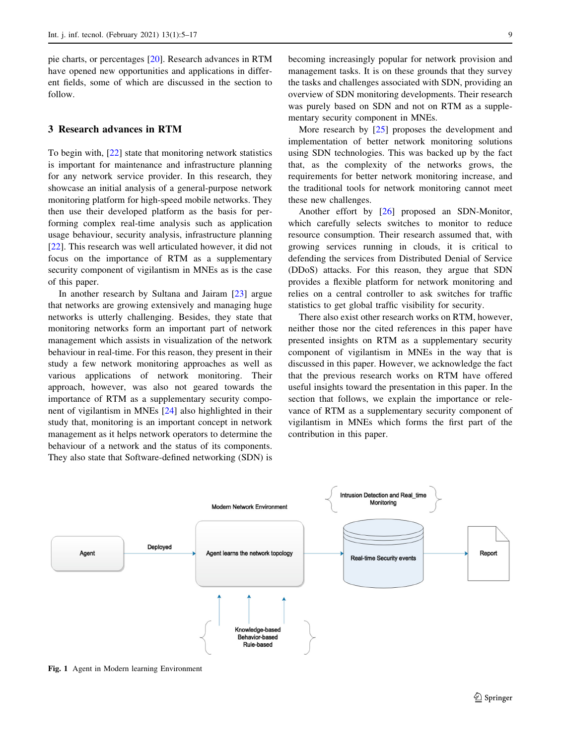<span id="page-5-0"></span>pie charts, or percentages [[20\]](#page-12-0). Research advances in RTM have opened new opportunities and applications in different fields, some of which are discussed in the section to follow.

## 3 Research advances in RTM

To begin with, [\[22](#page-12-0)] state that monitoring network statistics is important for maintenance and infrastructure planning for any network service provider. In this research, they showcase an initial analysis of a general-purpose network monitoring platform for high-speed mobile networks. They then use their developed platform as the basis for performing complex real-time analysis such as application usage behaviour, security analysis, infrastructure planning [\[22](#page-12-0)]. This research was well articulated however, it did not focus on the importance of RTM as a supplementary security component of vigilantism in MNEs as is the case of this paper.

In another research by Sultana and Jairam [\[23](#page-13-0)] argue that networks are growing extensively and managing huge networks is utterly challenging. Besides, they state that monitoring networks form an important part of network management which assists in visualization of the network behaviour in real-time. For this reason, they present in their study a few network monitoring approaches as well as various applications of network monitoring. Their approach, however, was also not geared towards the importance of RTM as a supplementary security component of vigilantism in MNEs [[24\]](#page-13-0) also highlighted in their study that, monitoring is an important concept in network management as it helps network operators to determine the behaviour of a network and the status of its components. They also state that Software-defined networking (SDN) is becoming increasingly popular for network provision and management tasks. It is on these grounds that they survey the tasks and challenges associated with SDN, providing an overview of SDN monitoring developments. Their research was purely based on SDN and not on RTM as a supplementary security component in MNEs.

More research by [\[25](#page-13-0)] proposes the development and implementation of better network monitoring solutions using SDN technologies. This was backed up by the fact that, as the complexity of the networks grows, the requirements for better network monitoring increase, and the traditional tools for network monitoring cannot meet these new challenges.

Another effort by [\[26](#page-13-0)] proposed an SDN-Monitor, which carefully selects switches to monitor to reduce resource consumption. Their research assumed that, with growing services running in clouds, it is critical to defending the services from Distributed Denial of Service (DDoS) attacks. For this reason, they argue that SDN provides a flexible platform for network monitoring and relies on a central controller to ask switches for traffic statistics to get global traffic visibility for security.

There also exist other research works on RTM, however, neither those nor the cited references in this paper have presented insights on RTM as a supplementary security component of vigilantism in MNEs in the way that is discussed in this paper. However, we acknowledge the fact that the previous research works on RTM have offered useful insights toward the presentation in this paper. In the section that follows, we explain the importance or relevance of RTM as a supplementary security component of vigilantism in MNEs which forms the first part of the contribution in this paper.



Fig. 1 Agent in Modern learning Environment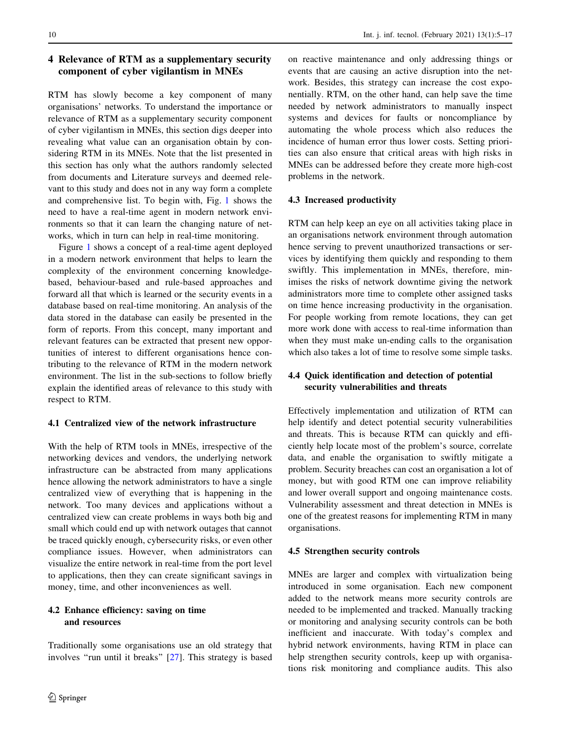## 4 Relevance of RTM as a supplementary security component of cyber vigilantism in MNEs

RTM has slowly become a key component of many organisations' networks. To understand the importance or relevance of RTM as a supplementary security component of cyber vigilantism in MNEs, this section digs deeper into revealing what value can an organisation obtain by considering RTM in its MNEs. Note that the list presented in this section has only what the authors randomly selected from documents and Literature surveys and deemed relevant to this study and does not in any way form a complete and comprehensive list. To begin with, Fig. [1](#page-5-0) shows the need to have a real-time agent in modern network environments so that it can learn the changing nature of networks, which in turn can help in real-time monitoring.

Figure [1](#page-5-0) shows a concept of a real-time agent deployed in a modern network environment that helps to learn the complexity of the environment concerning knowledgebased, behaviour-based and rule-based approaches and forward all that which is learned or the security events in a database based on real-time monitoring. An analysis of the data stored in the database can easily be presented in the form of reports. From this concept, many important and relevant features can be extracted that present new opportunities of interest to different organisations hence contributing to the relevance of RTM in the modern network environment. The list in the sub-sections to follow briefly explain the identified areas of relevance to this study with respect to RTM.

#### 4.1 Centralized view of the network infrastructure

With the help of RTM tools in MNEs, irrespective of the networking devices and vendors, the underlying network infrastructure can be abstracted from many applications hence allowing the network administrators to have a single centralized view of everything that is happening in the network. Too many devices and applications without a centralized view can create problems in ways both big and small which could end up with network outages that cannot be traced quickly enough, cybersecurity risks, or even other compliance issues. However, when administrators can visualize the entire network in real-time from the port level to applications, then they can create significant savings in money, time, and other inconveniences as well.

## 4.2 Enhance efficiency: saving on time and resources

Traditionally some organisations use an old strategy that involves "run until it breaks" [\[27](#page-13-0)]. This strategy is based on reactive maintenance and only addressing things or events that are causing an active disruption into the network. Besides, this strategy can increase the cost exponentially. RTM, on the other hand, can help save the time needed by network administrators to manually inspect systems and devices for faults or noncompliance by automating the whole process which also reduces the incidence of human error thus lower costs. Setting priorities can also ensure that critical areas with high risks in MNEs can be addressed before they create more high-cost problems in the network.

#### 4.3 Increased productivity

RTM can help keep an eye on all activities taking place in an organisations network environment through automation hence serving to prevent unauthorized transactions or services by identifying them quickly and responding to them swiftly. This implementation in MNEs, therefore, minimises the risks of network downtime giving the network administrators more time to complete other assigned tasks on time hence increasing productivity in the organisation. For people working from remote locations, they can get more work done with access to real-time information than when they must make un-ending calls to the organisation which also takes a lot of time to resolve some simple tasks.

## 4.4 Quick identification and detection of potential security vulnerabilities and threats

Effectively implementation and utilization of RTM can help identify and detect potential security vulnerabilities and threats. This is because RTM can quickly and efficiently help locate most of the problem's source, correlate data, and enable the organisation to swiftly mitigate a problem. Security breaches can cost an organisation a lot of money, but with good RTM one can improve reliability and lower overall support and ongoing maintenance costs. Vulnerability assessment and threat detection in MNEs is one of the greatest reasons for implementing RTM in many organisations.

#### 4.5 Strengthen security controls

MNEs are larger and complex with virtualization being introduced in some organisation. Each new component added to the network means more security controls are needed to be implemented and tracked. Manually tracking or monitoring and analysing security controls can be both inefficient and inaccurate. With today's complex and hybrid network environments, having RTM in place can help strengthen security controls, keep up with organisations risk monitoring and compliance audits. This also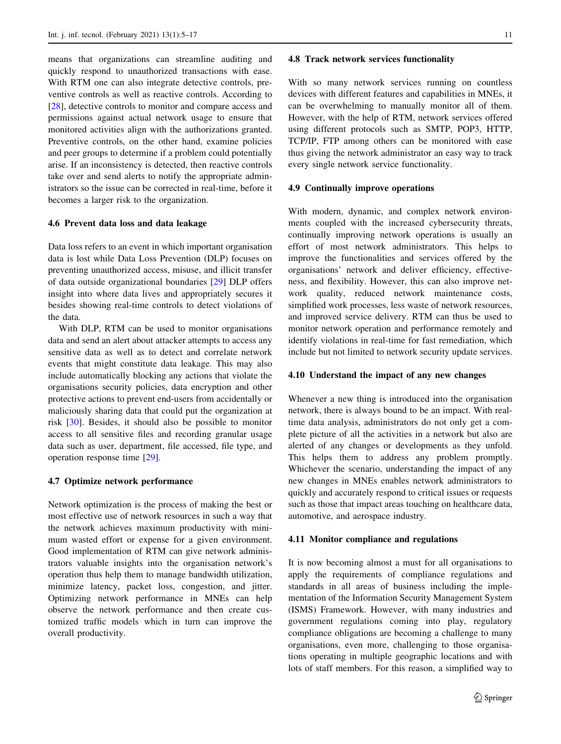means that organizations can streamline auditing and quickly respond to unauthorized transactions with ease. With RTM one can also integrate detective controls, preventive controls as well as reactive controls. According to [\[28](#page-13-0)], detective controls to monitor and compare access and permissions against actual network usage to ensure that monitored activities align with the authorizations granted. Preventive controls, on the other hand, examine policies and peer groups to determine if a problem could potentially arise. If an inconsistency is detected, then reactive controls take over and send alerts to notify the appropriate administrators so the issue can be corrected in real-time, before it becomes a larger risk to the organization.

#### 4.6 Prevent data loss and data leakage

Data loss refers to an event in which important organisation data is lost while Data Loss Prevention (DLP) focuses on preventing unauthorized access, misuse, and illicit transfer of data outside organizational boundaries [[29\]](#page-13-0) DLP offers insight into where data lives and appropriately secures it besides showing real-time controls to detect violations of the data.

With DLP, RTM can be used to monitor organisations data and send an alert about attacker attempts to access any sensitive data as well as to detect and correlate network events that might constitute data leakage. This may also include automatically blocking any actions that violate the organisations security policies, data encryption and other protective actions to prevent end-users from accidentally or maliciously sharing data that could put the organization at risk [[30\]](#page-13-0). Besides, it should also be possible to monitor access to all sensitive files and recording granular usage data such as user, department, file accessed, file type, and operation response time [[29\]](#page-13-0).

#### 4.7 Optimize network performance

Network optimization is the process of making the best or most effective use of network resources in such a way that the network achieves maximum productivity with minimum wasted effort or expense for a given environment. Good implementation of RTM can give network administrators valuable insights into the organisation network's operation thus help them to manage bandwidth utilization, minimize latency, packet loss, congestion, and jitter. Optimizing network performance in MNEs can help observe the network performance and then create customized traffic models which in turn can improve the overall productivity.

#### 4.8 Track network services functionality

With so many network services running on countless devices with different features and capabilities in MNEs, it can be overwhelming to manually monitor all of them. However, with the help of RTM, network services offered using different protocols such as SMTP, POP3, HTTP, TCP/IP, FTP among others can be monitored with ease thus giving the network administrator an easy way to track every single network service functionality.

#### 4.9 Continually improve operations

With modern, dynamic, and complex network environments coupled with the increased cybersecurity threats, continually improving network operations is usually an effort of most network administrators. This helps to improve the functionalities and services offered by the organisations' network and deliver efficiency, effectiveness, and flexibility. However, this can also improve network quality, reduced network maintenance costs, simplified work processes, less waste of network resources, and improved service delivery. RTM can thus be used to monitor network operation and performance remotely and identify violations in real-time for fast remediation, which include but not limited to network security update services.

#### 4.10 Understand the impact of any new changes

Whenever a new thing is introduced into the organisation network, there is always bound to be an impact. With realtime data analysis, administrators do not only get a complete picture of all the activities in a network but also are alerted of any changes or developments as they unfold. This helps them to address any problem promptly. Whichever the scenario, understanding the impact of any new changes in MNEs enables network administrators to quickly and accurately respond to critical issues or requests such as those that impact areas touching on healthcare data, automotive, and aerospace industry.

#### 4.11 Monitor compliance and regulations

It is now becoming almost a must for all organisations to apply the requirements of compliance regulations and standards in all areas of business including the implementation of the Information Security Management System (ISMS) Framework. However, with many industries and government regulations coming into play, regulatory compliance obligations are becoming a challenge to many organisations, even more, challenging to those organisations operating in multiple geographic locations and with lots of staff members. For this reason, a simplified way to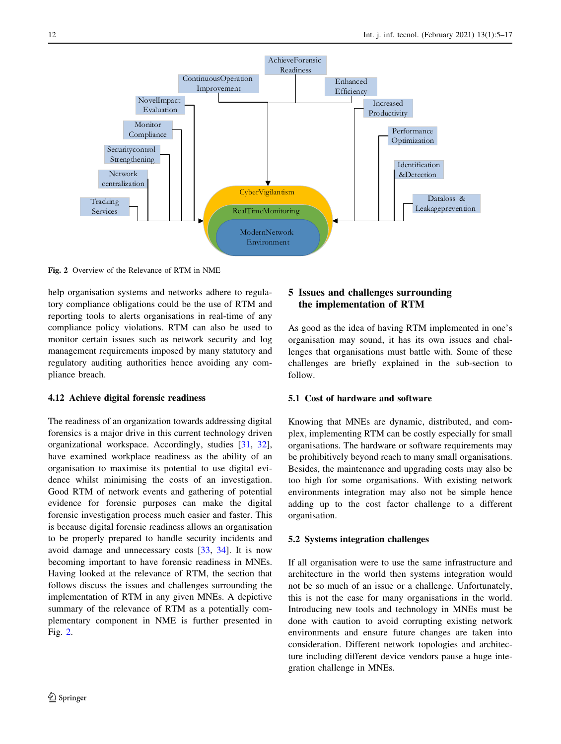

Fig. 2 Overview of the Relevance of RTM in NME

help organisation systems and networks adhere to regulatory compliance obligations could be the use of RTM and reporting tools to alerts organisations in real-time of any compliance policy violations. RTM can also be used to monitor certain issues such as network security and log management requirements imposed by many statutory and regulatory auditing authorities hence avoiding any compliance breach.

#### 4.12 Achieve digital forensic readiness

The readiness of an organization towards addressing digital forensics is a major drive in this current technology driven organizational workspace. Accordingly, studies [\[31](#page-13-0), [32](#page-13-0)], have examined workplace readiness as the ability of an organisation to maximise its potential to use digital evidence whilst minimising the costs of an investigation. Good RTM of network events and gathering of potential evidence for forensic purposes can make the digital forensic investigation process much easier and faster. This is because digital forensic readiness allows an organisation to be properly prepared to handle security incidents and avoid damage and unnecessary costs [\[33](#page-13-0), [34](#page-13-0)]. It is now becoming important to have forensic readiness in MNEs. Having looked at the relevance of RTM, the section that follows discuss the issues and challenges surrounding the implementation of RTM in any given MNEs. A depictive summary of the relevance of RTM as a potentially complementary component in NME is further presented in Fig. 2.

## 5 Issues and challenges surrounding the implementation of RTM

As good as the idea of having RTM implemented in one's organisation may sound, it has its own issues and challenges that organisations must battle with. Some of these challenges are briefly explained in the sub-section to follow.

#### 5.1 Cost of hardware and software

Knowing that MNEs are dynamic, distributed, and complex, implementing RTM can be costly especially for small organisations. The hardware or software requirements may be prohibitively beyond reach to many small organisations. Besides, the maintenance and upgrading costs may also be too high for some organisations. With existing network environments integration may also not be simple hence adding up to the cost factor challenge to a different organisation.

## 5.2 Systems integration challenges

If all organisation were to use the same infrastructure and architecture in the world then systems integration would not be so much of an issue or a challenge. Unfortunately, this is not the case for many organisations in the world. Introducing new tools and technology in MNEs must be done with caution to avoid corrupting existing network environments and ensure future changes are taken into consideration. Different network topologies and architecture including different device vendors pause a huge integration challenge in MNEs.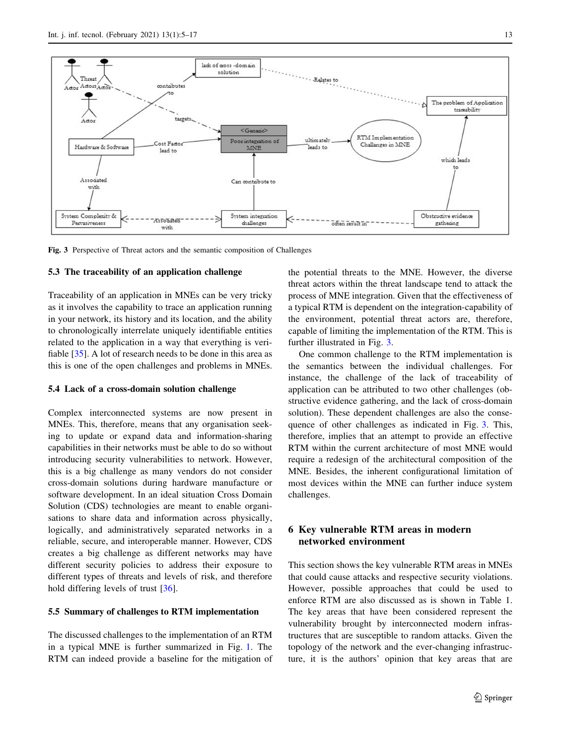

Fig. 3 Perspective of Threat actors and the semantic composition of Challenges

#### 5.3 The traceability of an application challenge

Traceability of an application in MNEs can be very tricky as it involves the capability to trace an application running in your network, its history and its location, and the ability to chronologically interrelate uniquely identifiable entities related to the application in a way that everything is verifiable [[35\]](#page-13-0). A lot of research needs to be done in this area as this is one of the open challenges and problems in MNEs.

#### 5.4 Lack of a cross-domain solution challenge

Complex interconnected systems are now present in MNEs. This, therefore, means that any organisation seeking to update or expand data and information-sharing capabilities in their networks must be able to do so without introducing security vulnerabilities to network. However, this is a big challenge as many vendors do not consider cross-domain solutions during hardware manufacture or software development. In an ideal situation Cross Domain Solution (CDS) technologies are meant to enable organisations to share data and information across physically, logically, and administratively separated networks in a reliable, secure, and interoperable manner. However, CDS creates a big challenge as different networks may have different security policies to address their exposure to different types of threats and levels of risk, and therefore hold differing levels of trust [\[36](#page-13-0)].

#### 5.5 Summary of challenges to RTM implementation

The discussed challenges to the implementation of an RTM in a typical MNE is further summarized in Fig. [1](#page-5-0). The RTM can indeed provide a baseline for the mitigation of the potential threats to the MNE. However, the diverse threat actors within the threat landscape tend to attack the process of MNE integration. Given that the effectiveness of a typical RTM is dependent on the integration-capability of the environment, potential threat actors are, therefore, capable of limiting the implementation of the RTM. This is further illustrated in Fig. 3.

One common challenge to the RTM implementation is the semantics between the individual challenges. For instance, the challenge of the lack of traceability of application can be attributed to two other challenges (obstructive evidence gathering, and the lack of cross-domain solution). These dependent challenges are also the consequence of other challenges as indicated in Fig. 3. This, therefore, implies that an attempt to provide an effective RTM within the current architecture of most MNE would require a redesign of the architectural composition of the MNE. Besides, the inherent configurational limitation of most devices within the MNE can further induce system challenges.

## 6 Key vulnerable RTM areas in modern networked environment

This section shows the key vulnerable RTM areas in MNEs that could cause attacks and respective security violations. However, possible approaches that could be used to enforce RTM are also discussed as is shown in Table 1. The key areas that have been considered represent the vulnerability brought by interconnected modern infrastructures that are susceptible to random attacks. Given the topology of the network and the ever-changing infrastructure, it is the authors' opinion that key areas that are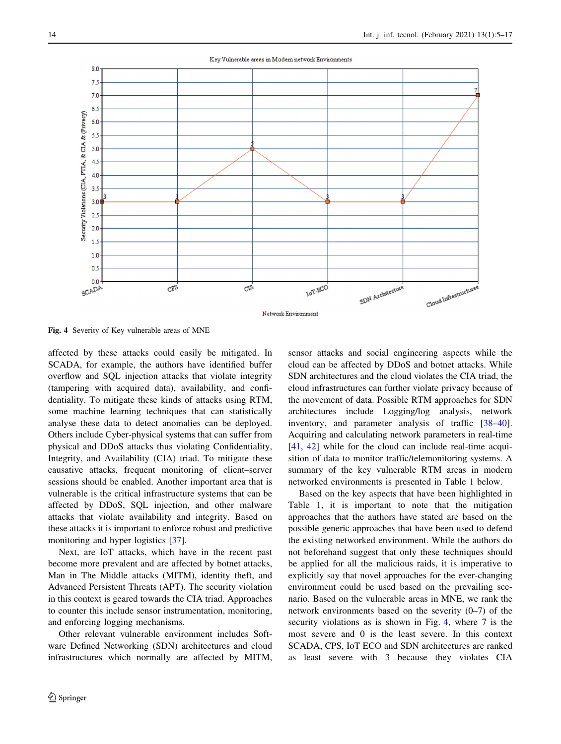

Key Vulnerable areas in Modern network Environments

Fig. 4 Severity of Key vulnerable areas of MNE

affected by these attacks could easily be mitigated. In SCADA, for example, the authors have identified buffer overflow and SQL injection attacks that violate integrity (tampering with acquired data), availability, and confidentiality. To mitigate these kinds of attacks using RTM, some machine learning techniques that can statistically analyse these data to detect anomalies can be deployed. Others include Cyber-physical systems that can suffer from physical and DDoS attacks thus violating Confidentiality, Integrity, and Availability (CIA) triad. To mitigate these causative attacks, frequent monitoring of client–server sessions should be enabled. Another important area that is vulnerable is the critical infrastructure systems that can be affected by DDoS, SQL injection, and other malware attacks that violate availability and integrity. Based on these attacks it is important to enforce robust and predictive monitoring and hyper logistics [[37\]](#page-13-0).

Next, are IoT attacks, which have in the recent past become more prevalent and are affected by botnet attacks, Man in The Middle attacks (MITM), identity theft, and Advanced Persistent Threats (APT). The security violation in this context is geared towards the CIA triad. Approaches to counter this include sensor instrumentation, monitoring, and enforcing logging mechanisms.

Other relevant vulnerable environment includes Software Defined Networking (SDN) architectures and cloud infrastructures which normally are affected by MITM,

sensor attacks and social engineering aspects while the cloud can be affected by DDoS and botnet attacks. While SDN architectures and the cloud violates the CIA triad, the cloud infrastructures can further violate privacy because of the movement of data. Possible RTM approaches for SDN architectures include Logging/log analysis, network inventory, and parameter analysis of traffic [\[38–40](#page-13-0)]. Acquiring and calculating network parameters in real-time [\[41](#page-13-0), [42\]](#page-13-0) while for the cloud can include real-time acquisition of data to monitor traffic/telemonitoring systems. A summary of the key vulnerable RTM areas in modern networked environments is presented in Table 1 below.

Based on the key aspects that have been highlighted in Table 1, it is important to note that the mitigation approaches that the authors have stated are based on the possible generic approaches that have been used to defend the existing networked environment. While the authors do not beforehand suggest that only these techniques should be applied for all the malicious raids, it is imperative to explicitly say that novel approaches for the ever-changing environment could be used based on the prevailing scenario. Based on the vulnerable areas in MNE, we rank the network environments based on the severity (0–7) of the security violations as is shown in Fig. 4, where 7 is the most severe and 0 is the least severe. In this context SCADA, CPS, IoT ECO and SDN architectures are ranked as least severe with 3 because they violates CIA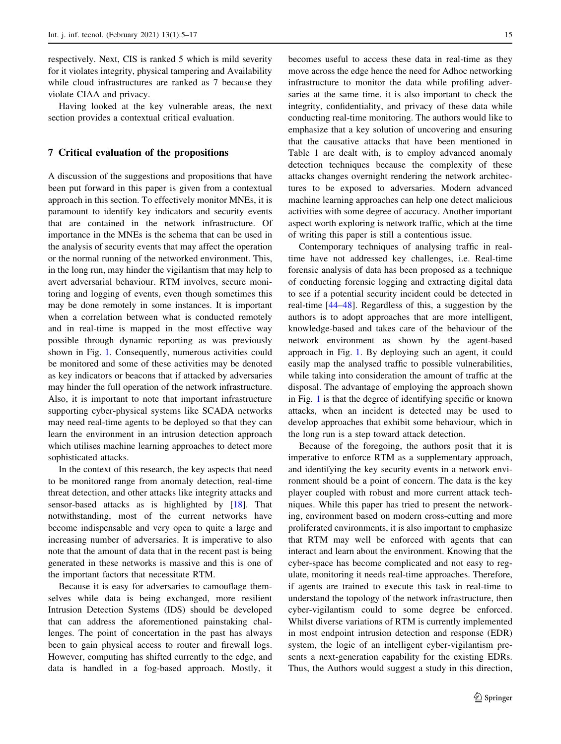respectively. Next, CIS is ranked 5 which is mild severity for it violates integrity, physical tampering and Availability while cloud infrastructures are ranked as 7 because they violate CIAA and privacy.

Having looked at the key vulnerable areas, the next section provides a contextual critical evaluation.

#### 7 Critical evaluation of the propositions

A discussion of the suggestions and propositions that have been put forward in this paper is given from a contextual approach in this section. To effectively monitor MNEs, it is paramount to identify key indicators and security events that are contained in the network infrastructure. Of importance in the MNEs is the schema that can be used in the analysis of security events that may affect the operation or the normal running of the networked environment. This, in the long run, may hinder the vigilantism that may help to avert adversarial behaviour. RTM involves, secure monitoring and logging of events, even though sometimes this may be done remotely in some instances. It is important when a correlation between what is conducted remotely and in real-time is mapped in the most effective way possible through dynamic reporting as was previously shown in Fig. [1](#page-5-0). Consequently, numerous activities could be monitored and some of these activities may be denoted as key indicators or beacons that if attacked by adversaries may hinder the full operation of the network infrastructure. Also, it is important to note that important infrastructure supporting cyber-physical systems like SCADA networks may need real-time agents to be deployed so that they can learn the environment in an intrusion detection approach which utilises machine learning approaches to detect more sophisticated attacks.

In the context of this research, the key aspects that need to be monitored range from anomaly detection, real-time threat detection, and other attacks like integrity attacks and sensor-based attacks as is highlighted by [[18\]](#page-12-0). That notwithstanding, most of the current networks have become indispensable and very open to quite a large and increasing number of adversaries. It is imperative to also note that the amount of data that in the recent past is being generated in these networks is massive and this is one of the important factors that necessitate RTM.

Because it is easy for adversaries to camouflage themselves while data is being exchanged, more resilient Intrusion Detection Systems (IDS) should be developed that can address the aforementioned painstaking challenges. The point of concertation in the past has always been to gain physical access to router and firewall logs. However, computing has shifted currently to the edge, and data is handled in a fog-based approach. Mostly, it becomes useful to access these data in real-time as they move across the edge hence the need for Adhoc networking infrastructure to monitor the data while profiling adversaries at the same time. it is also important to check the integrity, confidentiality, and privacy of these data while conducting real-time monitoring. The authors would like to emphasize that a key solution of uncovering and ensuring that the causative attacks that have been mentioned in Table 1 are dealt with, is to employ advanced anomaly detection techniques because the complexity of these attacks changes overnight rendering the network architectures to be exposed to adversaries. Modern advanced machine learning approaches can help one detect malicious activities with some degree of accuracy. Another important aspect worth exploring is network traffic, which at the time of writing this paper is still a contentious issue.

Contemporary techniques of analysing traffic in realtime have not addressed key challenges, i.e. Real-time forensic analysis of data has been proposed as a technique of conducting forensic logging and extracting digital data to see if a potential security incident could be detected in real-time [\[44–48](#page-13-0)]. Regardless of this, a suggestion by the authors is to adopt approaches that are more intelligent, knowledge-based and takes care of the behaviour of the network environment as shown by the agent-based approach in Fig. [1.](#page-5-0) By deploying such an agent, it could easily map the analysed traffic to possible vulnerabilities, while taking into consideration the amount of traffic at the disposal. The advantage of employing the approach shown in Fig. [1](#page-5-0) is that the degree of identifying specific or known attacks, when an incident is detected may be used to develop approaches that exhibit some behaviour, which in the long run is a step toward attack detection.

Because of the foregoing, the authors posit that it is imperative to enforce RTM as a supplementary approach, and identifying the key security events in a network environment should be a point of concern. The data is the key player coupled with robust and more current attack techniques. While this paper has tried to present the networking, environment based on modern cross-cutting and more proliferated environments, it is also important to emphasize that RTM may well be enforced with agents that can interact and learn about the environment. Knowing that the cyber-space has become complicated and not easy to regulate, monitoring it needs real-time approaches. Therefore, if agents are trained to execute this task in real-time to understand the topology of the network infrastructure, then cyber-vigilantism could to some degree be enforced. Whilst diverse variations of RTM is currently implemented in most endpoint intrusion detection and response (EDR) system, the logic of an intelligent cyber-vigilantism presents a next-generation capability for the existing EDRs. Thus, the Authors would suggest a study in this direction,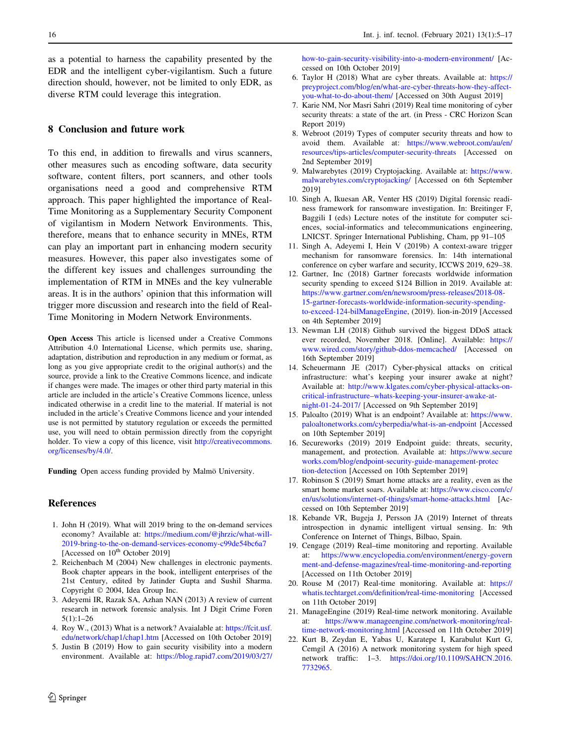<span id="page-12-0"></span>as a potential to harness the capability presented by the EDR and the intelligent cyber-vigilantism. Such a future direction should, however, not be limited to only EDR, as diverse RTM could leverage this integration.

## 8 Conclusion and future work

To this end, in addition to firewalls and virus scanners, other measures such as encoding software, data security software, content filters, port scanners, and other tools organisations need a good and comprehensive RTM approach. This paper highlighted the importance of Real-Time Monitoring as a Supplementary Security Component of vigilantism in Modern Network Environments. This, therefore, means that to enhance security in MNEs, RTM can play an important part in enhancing modern security measures. However, this paper also investigates some of the different key issues and challenges surrounding the implementation of RTM in MNEs and the key vulnerable areas. It is in the authors' opinion that this information will trigger more discussion and research into the field of Real-Time Monitoring in Modern Network Environments.

Open Access This article is licensed under a Creative Commons Attribution 4.0 International License, which permits use, sharing, adaptation, distribution and reproduction in any medium or format, as long as you give appropriate credit to the original author(s) and the source, provide a link to the Creative Commons licence, and indicate if changes were made. The images or other third party material in this article are included in the article's Creative Commons licence, unless indicated otherwise in a credit line to the material. If material is not included in the article's Creative Commons licence and your intended use is not permitted by statutory regulation or exceeds the permitted use, you will need to obtain permission directly from the copyright holder. To view a copy of this licence, visit [http://creativecommons.](http://creativecommons.org/licenses/by/4.0/) [org/licenses/by/4.0/.](http://creativecommons.org/licenses/by/4.0/)

Funding Open access funding provided by Malmö University.

#### References

- 1. John H (2019). What will 2019 bring to the on-demand services economy? Available at: [https://medium.com/@jhrzic/what-will-](https://medium.com/@jhrzic/what-will-2019-bring-to-the-on-demand-services-economy-c99de54bc6a7)[2019-bring-to-the-on-demand-services-economy-c99de54bc6a7](https://medium.com/@jhrzic/what-will-2019-bring-to-the-on-demand-services-economy-c99de54bc6a7) [Accessed on 10<sup>th</sup> October 2019]
- 2. Reichenbach M (2004) New challenges in electronic payments. Book chapter appears in the book, intelligent enterprises of the 21st Century, edited by Jatinder Gupta and Sushil Sharma. Copyright © 2004, Idea Group Inc.
- 3. Adeyemi IR, Razak SA, Azhan NAN (2013) A review of current research in network forensic analysis. Int J Digit Crime Foren 5(1):1–26
- 4. Roy W., (2013) What is a network? Avaialable at: [https://fcit.usf.](https://fcit.usf.edu/network/chap1/chap1.htm) [edu/network/chap1/chap1.htm](https://fcit.usf.edu/network/chap1/chap1.htm) [Accessed on 10th October 2019]
- 5. Justin B (2019) How to gain security visibility into a modern environment. Available at: [https://blog.rapid7.com/2019/03/27/](https://blog.rapid7.com/2019/03/27/how-to-gain-security-visibility-into-a-modern-environment/)

[how-to-gain-security-visibility-into-a-modern-environment/](https://blog.rapid7.com/2019/03/27/how-to-gain-security-visibility-into-a-modern-environment/) [Accessed on 10th October 2019]

- 6. Taylor H (2018) What are cyber threats. Available at: [https://](https://preyproject.com/blog/en/what-are-cyber-threats-how-they-affect-you-what-to-do-about-them/) [preyproject.com/blog/en/what-are-cyber-threats-how-they-affect](https://preyproject.com/blog/en/what-are-cyber-threats-how-they-affect-you-what-to-do-about-them/)[you-what-to-do-about-them/](https://preyproject.com/blog/en/what-are-cyber-threats-how-they-affect-you-what-to-do-about-them/) [Accessed on 30th August 2019]
- 7. Karie NM, Nor Masri Sahri (2019) Real time monitoring of cyber security threats: a state of the art. (in Press - CRC Horizon Scan Report 2019)
- 8. Webroot (2019) Types of computer security threats and how to avoid them. Available at: [https://www.webroot.com/au/en/](https://www.webroot.com/au/en/resources/tips-articles/computer-security-threats) [resources/tips-articles/computer-security-threats](https://www.webroot.com/au/en/resources/tips-articles/computer-security-threats) [Accessed on 2nd September 2019]
- 9. Malwarebytes (2019) Cryptojacking. Available at: [https://www.](https://www.malwarebytes.com/cryptojacking/) [malwarebytes.com/cryptojacking/](https://www.malwarebytes.com/cryptojacking/) [Accessed on 6th September 2019]
- 10. Singh A, Ikuesan AR, Venter HS (2019) Digital forensic readiness framework for ransomware investigation. In: Breitinger F, Baggili I (eds) Lecture notes of the institute for computer sciences, social-informatics and telecommunications engineering, LNICST. Springer International Publishing, Cham, pp 91–105
- 11. Singh A, Adeyemi I, Hein V (2019b) A context-aware trigger mechanism for ransomware forensics. In: 14th international conference on cyber warfare and security, ICCWS 2019, 629–38.
- 12. Gartner, Inc (2018) Gartner forecasts worldwide information security spending to exceed \$124 Billion in 2019. Available at: [https://www.gartner.com/en/newsroom/press-releases/2018-08-](https://www.gartner.com/en/newsroom/press-releases/2018-08-15-gartner-forecasts-worldwide-information-security-spending-to-exceed-124-bilManageEngine) [15-gartner-forecasts-worldwide-information-security-spending](https://www.gartner.com/en/newsroom/press-releases/2018-08-15-gartner-forecasts-worldwide-information-security-spending-to-exceed-124-bilManageEngine)[to-exceed-124-bilManageEngine,](https://www.gartner.com/en/newsroom/press-releases/2018-08-15-gartner-forecasts-worldwide-information-security-spending-to-exceed-124-bilManageEngine) (2019). lion-in-2019 [Accessed on 4th September 2019]
- 13. Newman LH (2018) Github survived the biggest DDoS attack ever recorded, November 2018. [Online]. Available: [https://](https://www.wired.com/story/github-ddos-memcached/) [www.wired.com/story/github-ddos-memcached/](https://www.wired.com/story/github-ddos-memcached/) [Accessed on 16th September 2019]
- 14. Scheuermann JE (2017) Cyber-physical attacks on critical infrastructure: what's keeping your insurer awake at night? Available at: [http://www.klgates.com/cyber-physical-attacks-on](http://www.klgates.com/cyber-physical-attacks-on-critical-infrastructure--whats-keeping-your-insurer-awake-at-night-01-24-2017/)[critical-infrastructure–whats-keeping-your-insurer-awake-at](http://www.klgates.com/cyber-physical-attacks-on-critical-infrastructure--whats-keeping-your-insurer-awake-at-night-01-24-2017/)[night-01-24-2017/](http://www.klgates.com/cyber-physical-attacks-on-critical-infrastructure--whats-keeping-your-insurer-awake-at-night-01-24-2017/) [Accessed on 9th September 2019]
- 15. Paloalto (2019) What is an endpoint? Available at: [https://www.](https://www.paloaltonetworks.com/cyberpedia/what-is-an-endpoint) [paloaltonetworks.com/cyberpedia/what-is-an-endpoint](https://www.paloaltonetworks.com/cyberpedia/what-is-an-endpoint) [Accessed on 10th September 2019]
- 16. Secureworks (2019) 2019 Endpoint guide: threats, security, management, and protection. Available at: [https://www.secure](https://www.secureworks.com/blog/endpoint-security-guide-management-protection-detection) [works.com/blog/endpoint-security-guide-management-protec](https://www.secureworks.com/blog/endpoint-security-guide-management-protection-detection) [tion-detection](https://www.secureworks.com/blog/endpoint-security-guide-management-protection-detection) [Accessed on 10th September 2019]
- 17. Robinson S (2019) Smart home attacks are a reality, even as the smart home market soars. Available at: [https://www.cisco.com/c/](https://www.cisco.com/c/en/us/solutions/internet-of-things/smart-home-attacks.html) [en/us/solutions/internet-of-things/smart-home-attacks.html](https://www.cisco.com/c/en/us/solutions/internet-of-things/smart-home-attacks.html) [Accessed on 10th September 2019]
- 18. Kebande VR, Bugeja J, Persson JA (2019) Internet of threats introspection in dynamic intelligent virtual sensing. In: 9th Conference on Internet of Things, Bilbao, Spain.
- 19. Cengage (2019) Real–time monitoring and reporting. Available at: [https://www.encyclopedia.com/environment/energy-govern](https://www.encyclopedia.com/environment/energy-government-and-defense-magazines/real-time-monitoring-and-reporting) [ment-and-defense-magazines/real-time-monitoring-and-reporting](https://www.encyclopedia.com/environment/energy-government-and-defense-magazines/real-time-monitoring-and-reporting) [Accessed on 11th October 2019]
- 20. Rouse M (2017) Real-time monitoring. Available at: [https://](https://whatis.techtarget.com/definition/real-time-monitoring) [whatis.techtarget.com/definition/real-time-monitoring](https://whatis.techtarget.com/definition/real-time-monitoring) [Accessed on 11th October 2019]
- 21. ManageEngine (2019) Real-time network monitoring. Available at: [https://www.manageengine.com/network-monitoring/real](https://www.manageengine.com/network-monitoring/real-time-network-monitoring.html)[time-network-monitoring.html](https://www.manageengine.com/network-monitoring/real-time-network-monitoring.html) [Accessed on 11th October 2019]
- 22. Kurt B, Zeydan E, Yabas U, Karatepe I, Karabulut Kurt G, Cemgil A (2016) A network monitoring system for high speed network traffic: 1–3. [https://doi.org/10.1109/SAHCN.2016.](https://doi.org/10.1109/SAHCN.2016.7732965) [7732965](https://doi.org/10.1109/SAHCN.2016.7732965).